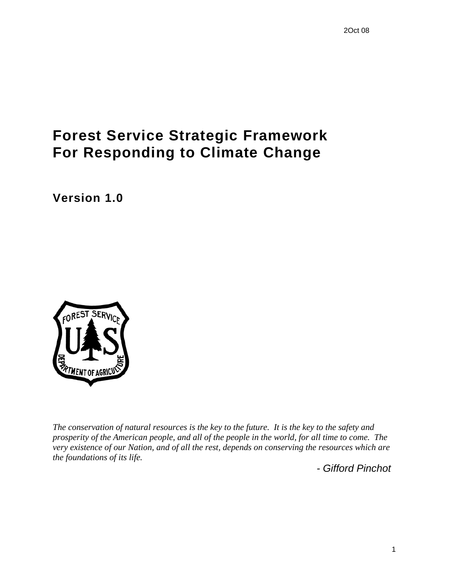# **Forest Service Strategic Framework For Responding to Climate Change**

**Version 1.0** 



*The conservation of natural resources is the key to the future. It is the key to the safety and prosperity of the American people, and all of the people in the world, for all time to come. The very existence of our Nation, and of all the rest, depends on conserving the resources which are the foundations of its life.* 

*- Gifford Pinchot*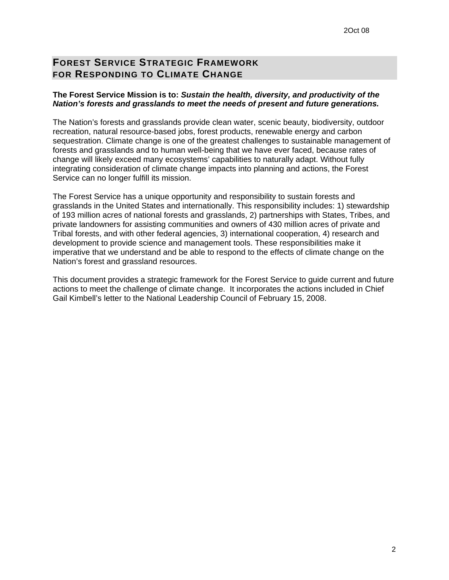# **FOREST SERVICE STRATEGIC FRAMEWORK FOR RESPONDING TO CLIMATE CHANGE**

#### **The Forest Service Mission is to:** *Sustain the health, diversity, and productivity of the Nation's forests and grasslands to meet the needs of present and future generations.*

The Nation's forests and grasslands provide clean water, scenic beauty, biodiversity, outdoor recreation, natural resource-based jobs, forest products, renewable energy and carbon sequestration. Climate change is one of the greatest challenges to sustainable management of forests and grasslands and to human well-being that we have ever faced, because rates of change will likely exceed many ecosystems' capabilities to naturally adapt. Without fully integrating consideration of climate change impacts into planning and actions, the Forest Service can no longer fulfill its mission.

The Forest Service has a unique opportunity and responsibility to sustain forests and grasslands in the United States and internationally. This responsibility includes: 1) stewardship of 193 million acres of national forests and grasslands, 2) partnerships with States, Tribes, and private landowners for assisting communities and owners of 430 million acres of private and Tribal forests, and with other federal agencies, 3) international cooperation, 4) research and development to provide science and management tools. These responsibilities make it imperative that we understand and be able to respond to the effects of climate change on the Nation's forest and grassland resources.

This document provides a strategic framework for the Forest Service to guide current and future actions to meet the challenge of climate change. It incorporates the actions included in Chief Gail Kimbell's letter to the National Leadership Council of February 15, 2008.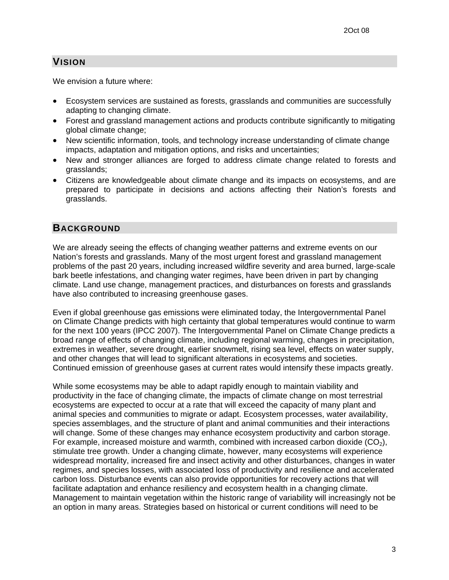## **VISION**

We envision a future where:

- Ecosystem services are sustained as forests, grasslands and communities are successfully adapting to changing climate.
- Forest and grassland management actions and products contribute significantly to mitigating global climate change;
- New scientific information, tools, and technology increase understanding of climate change impacts, adaptation and mitigation options, and risks and uncertainties;
- New and stronger alliances are forged to address climate change related to forests and grasslands;
- Citizens are knowledgeable about climate change and its impacts on ecosystems, and are prepared to participate in decisions and actions affecting their Nation's forests and grasslands.

#### **BACKGROUND**

We are already seeing the effects of changing weather patterns and extreme events on our Nation's forests and grasslands. Many of the most urgent forest and grassland management problems of the past 20 years, including increased wildfire severity and area burned, large-scale bark beetle infestations, and changing water regimes, have been driven in part by changing climate. Land use change, management practices, and disturbances on forests and grasslands have also contributed to increasing greenhouse gases.

Even if global greenhouse gas emissions were eliminated today, the Intergovernmental Panel on Climate Change predicts with high certainty that global temperatures would continue to warm for the next 100 years (IPCC 2007). The Intergovernmental Panel on Climate Change predicts a broad range of effects of changing climate, including regional warming, changes in precipitation, extremes in weather, severe drought, earlier snowmelt, rising sea level, effects on water supply, and other changes that will lead to significant alterations in ecosystems and societies. Continued emission of greenhouse gases at current rates would intensify these impacts greatly.

While some ecosystems may be able to adapt rapidly enough to maintain viability and productivity in the face of changing climate, the impacts of climate change on most terrestrial ecosystems are expected to occur at a rate that will exceed the capacity of many plant and animal species and communities to migrate or adapt. Ecosystem processes, water availability, species assemblages, and the structure of plant and animal communities and their interactions will change. Some of these changes may enhance ecosystem productivity and carbon storage. For example, increased moisture and warmth, combined with increased carbon dioxide  $(CO<sub>2</sub>)$ , stimulate tree growth. Under a changing climate, however, many ecosystems will experience widespread mortality, increased fire and insect activity and other disturbances, changes in water regimes, and species losses, with associated loss of productivity and resilience and accelerated carbon loss. Disturbance events can also provide opportunities for recovery actions that will facilitate adaptation and enhance resiliency and ecosystem health in a changing climate. Management to maintain vegetation within the historic range of variability will increasingly not be an option in many areas. Strategies based on historical or current conditions will need to be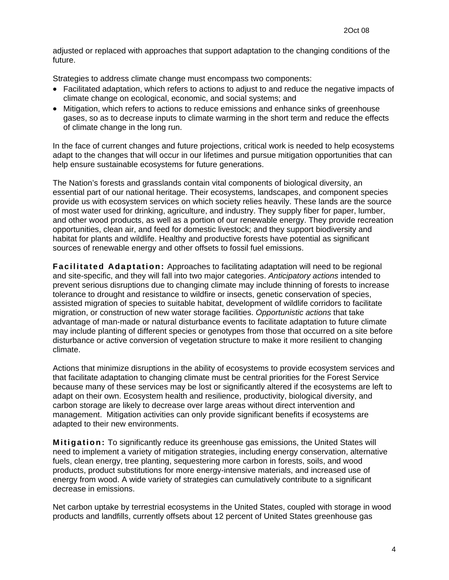adjusted or replaced with approaches that support adaptation to the changing conditions of the future.

Strategies to address climate change must encompass two components:

- Facilitated adaptation, which refers to actions to adjust to and reduce the negative impacts of climate change on ecological, economic, and social systems; and
- Mitigation, which refers to actions to reduce emissions and enhance sinks of greenhouse gases, so as to decrease inputs to climate warming in the short term and reduce the effects of climate change in the long run.

In the face of current changes and future projections, critical work is needed to help ecosystems adapt to the changes that will occur in our lifetimes and pursue mitigation opportunities that can help ensure sustainable ecosystems for future generations.

The Nation's forests and grasslands contain vital components of biological diversity, an essential part of our national heritage. Their ecosystems, landscapes, and component species provide us with ecosystem services on which society relies heavily. These lands are the source of most water used for drinking, agriculture, and industry. They supply fiber for paper, lumber, and other wood products, as well as a portion of our renewable energy. They provide recreation opportunities, clean air, and feed for domestic livestock; and they support biodiversity and habitat for plants and wildlife. Healthy and productive forests have potential as significant sources of renewable energy and other offsets to fossil fuel emissions.

**Facilitated Adaptation:** Approaches to facilitating adaptation will need to be regional and site-specific, and they will fall into two major categories. *Anticipatory actions* intended to prevent serious disruptions due to changing climate may include thinning of forests to increase tolerance to drought and resistance to wildfire or insects, genetic conservation of species, assisted migration of species to suitable habitat, development of wildlife corridors to facilitate migration, or construction of new water storage facilities. *Opportunistic actions* that take advantage of man-made or natural disturbance events to facilitate adaptation to future climate may include planting of different species or genotypes from those that occurred on a site before disturbance or active conversion of vegetation structure to make it more resilient to changing climate.

Actions that minimize disruptions in the ability of ecosystems to provide ecosystem services and that facilitate adaptation to changing climate must be central priorities for the Forest Service because many of these services may be lost or significantly altered if the ecosystems are left to adapt on their own. Ecosystem health and resilience, productivity, biological diversity, and carbon storage are likely to decrease over large areas without direct intervention and management. Mitigation activities can only provide significant benefits if ecosystems are adapted to their new environments.

**Mitigation:** To significantly reduce its greenhouse gas emissions, the United States will need to implement a variety of mitigation strategies, including energy conservation, alternative fuels, clean energy, tree planting, sequestering more carbon in forests, soils, and wood products, product substitutions for more energy-intensive materials, and increased use of energy from wood. A wide variety of strategies can cumulatively contribute to a significant decrease in emissions.

Net carbon uptake by terrestrial ecosystems in the United States, coupled with storage in wood products and landfills, currently offsets about 12 percent of United States greenhouse gas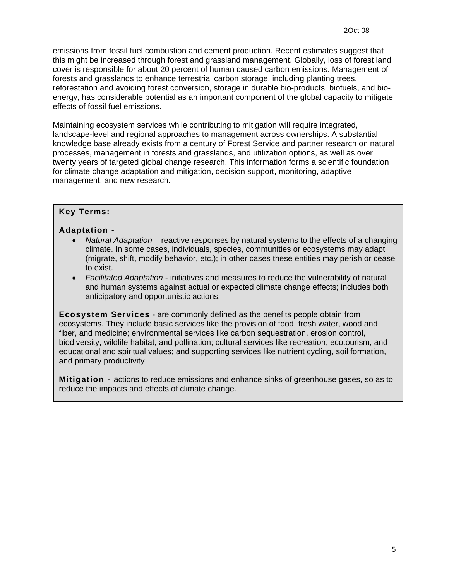emissions from fossil fuel combustion and cement production. Recent estimates suggest that this might be increased through forest and grassland management. Globally, loss of forest land cover is responsible for about 20 percent of human caused carbon emissions. Management of forests and grasslands to enhance terrestrial carbon storage, including planting trees, reforestation and avoiding forest conversion, storage in durable bio-products, biofuels, and bioenergy, has considerable potential as an important component of the global capacity to mitigate effects of fossil fuel emissions.

Maintaining ecosystem services while contributing to mitigation will require integrated, landscape-level and regional approaches to management across ownerships. A substantial knowledge base already exists from a century of Forest Service and partner research on natural processes, management in forests and grasslands, and utilization options, as well as over twenty years of targeted global change research. This information forms a scientific foundation for climate change adaptation and mitigation, decision support, monitoring, adaptive management, and new research.

#### **Key Terms:**

#### **Adaptation -**

- *Natural Adaptation* reactive responses by natural systems to the effects of a changing climate. In some cases, individuals, species, communities or ecosystems may adapt (migrate, shift, modify behavior, etc.); in other cases these entities may perish or cease to exist.
- *Facilitated Adaptation* initiatives and measures to reduce the vulnerability of natural and human systems against actual or expected [climate change effects;](http://en.wikipedia.org/wiki/Effects_of_global_warming) includes both anticipatory and opportunistic actions.

**Ecosystem Services** - are commonly defined as the benefits people obtain from ecosystems. They include basic services like the provision of food, fresh water, wood and fiber, and medicine; environmental services like carbon sequestration, erosion control, biodiversity, wildlife habitat, and pollination; cultural services like recreation, ecotourism, and educational and spiritual values; and supporting services like nutrient cycling, soil formation, and primary productivity

**Mitigation -** actions to reduce emissions and enhance sinks of greenhouse gases, so as to reduce the impacts and effects of climate change.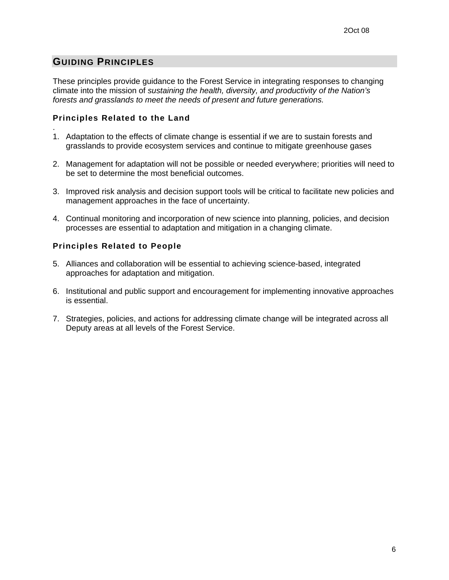## **GUIDING PRINCIPLES**

.

These principles provide guidance to the Forest Service in integrating responses to changing climate into the mission of *sustaining the health, diversity, and productivity of the Nation's forests and grasslands to meet the needs of present and future generations.*

#### **Principles Related to the Land**

- 1. Adaptation to the effects of climate change is essential if we are to sustain forests and grasslands to provide ecosystem services and continue to mitigate greenhouse gases
- 2. Management for adaptation will not be possible or needed everywhere; priorities will need to be set to determine the most beneficial outcomes.
- 3. Improved risk analysis and decision support tools will be critical to facilitate new policies and management approaches in the face of uncertainty.
- 4. Continual monitoring and incorporation of new science into planning, policies, and decision processes are essential to adaptation and mitigation in a changing climate.

#### **Principles Related to People**

- 5. Alliances and collaboration will be essential to achieving science-based, integrated approaches for adaptation and mitigation.
- 6. Institutional and public support and encouragement for implementing innovative approaches is essential.
- 7. Strategies, policies, and actions for addressing climate change will be integrated across all Deputy areas at all levels of the Forest Service.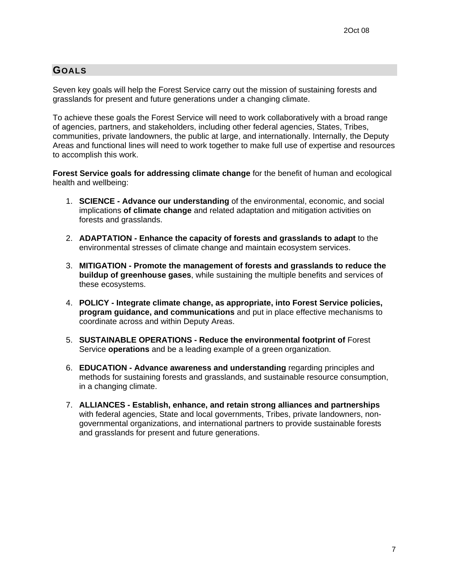### **GOALS**

Seven key goals will help the Forest Service carry out the mission of sustaining forests and grasslands for present and future generations under a changing climate.

To achieve these goals the Forest Service will need to work collaboratively with a broad range of agencies, partners, and stakeholders, including other federal agencies, States, Tribes, communities, private landowners, the public at large, and internationally. Internally, the Deputy Areas and functional lines will need to work together to make full use of expertise and resources to accomplish this work.

**Forest Service goals for addressing climate change** for the benefit of human and ecological health and wellbeing:

- 1. **SCIENCE Advance our understanding** of the environmental, economic, and social implications **of climate change** and related adaptation and mitigation activities on forests and grasslands.
- 2. **ADAPTATION Enhance the capacity of forests and grasslands to adapt** to the environmental stresses of climate change and maintain ecosystem services.
- 3. **MITIGATION Promote the management of forests and grasslands to reduce the buildup of greenhouse gases**, while sustaining the multiple benefits and services of these ecosystems.
- 4. **POLICY Integrate climate change, as appropriate, into Forest Service policies, program guidance, and communications** and put in place effective mechanisms to coordinate across and within Deputy Areas.
- 5. **SUSTAINABLE OPERATIONS Reduce the environmental footprint of** Forest Service **operations** and be a leading example of a green organization.
- 6. **EDUCATION Advance awareness and understanding** regarding principles and methods for sustaining forests and grasslands, and sustainable resource consumption, in a changing climate.
- 7. **ALLIANCES Establish, enhance, and retain strong alliances and partnerships** with federal agencies, State and local governments, Tribes, private landowners, nongovernmental organizations, and international partners to provide sustainable forests and grasslands for present and future generations.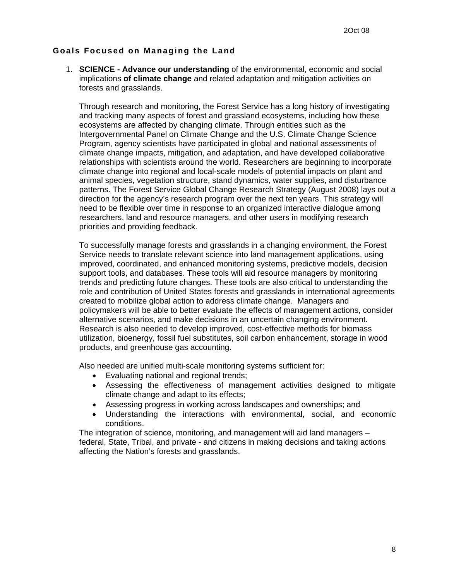#### **Goals Focused on Managing the Land**

1. **SCIENCE - Advance our understanding** of the environmental, economic and social implications **of climate change** and related adaptation and mitigation activities on forests and grasslands.

Through research and monitoring, the Forest Service has a long history of investigating and tracking many aspects of forest and grassland ecosystems, including how these ecosystems are affected by changing climate. Through entities such as the Intergovernmental Panel on Climate Change and the U.S. Climate Change Science Program, agency scientists have participated in global and national assessments of climate change impacts, mitigation, and adaptation, and have developed collaborative relationships with scientists around the world. Researchers are beginning to incorporate climate change into regional and local-scale models of potential impacts on plant and animal species, vegetation structure, stand dynamics, water supplies, and disturbance patterns. The Forest Service Global Change Research Strategy (August 2008) lays out a direction for the agency's research program over the next ten years. This strategy will need to be flexible over time in response to an organized interactive dialogue among researchers, land and resource managers, and other users in modifying research priorities and providing feedback.

To successfully manage forests and grasslands in a changing environment, the Forest Service needs to translate relevant science into land management applications, using improved, coordinated, and enhanced monitoring systems, predictive models, decision support tools, and databases. These tools will aid resource managers by monitoring trends and predicting future changes. These tools are also critical to understanding the role and contribution of United States forests and grasslands in international agreements created to mobilize global action to address climate change. Managers and policymakers will be able to better evaluate the effects of management actions, consider alternative scenarios, and make decisions in an uncertain changing environment. Research is also needed to develop improved, cost-effective methods for biomass utilization, bioenergy, fossil fuel substitutes, soil carbon enhancement, storage in wood products, and greenhouse gas accounting.

Also needed are unified multi-scale monitoring systems sufficient for:

- Evaluating national and regional trends;
- Assessing the effectiveness of management activities designed to mitigate climate change and adapt to its effects;
- Assessing progress in working across landscapes and ownerships; and
- Understanding the interactions with environmental, social, and economic conditions.

The integration of science, monitoring, and management will aid land managers – federal, State, Tribal, and private - and citizens in making decisions and taking actions affecting the Nation's forests and grasslands.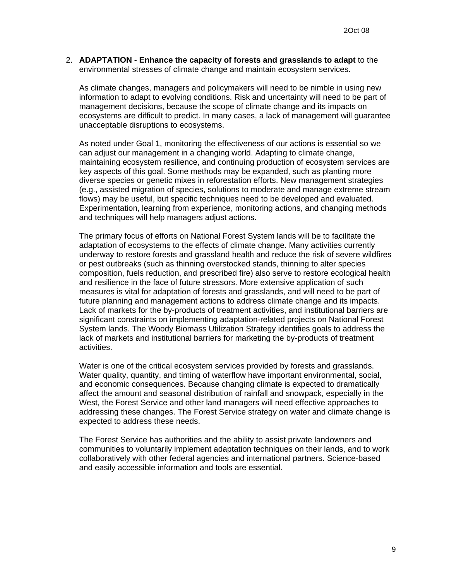2. **ADAPTATION - Enhance the capacity of forests and grasslands to adapt** to the environmental stresses of climate change and maintain ecosystem services.

As climate changes, managers and policymakers will need to be nimble in using new information to adapt to evolving conditions. Risk and uncertainty will need to be part of management decisions, because the scope of climate change and its impacts on ecosystems are difficult to predict. In many cases, a lack of management will guarantee unacceptable disruptions to ecosystems.

As noted under Goal 1, monitoring the effectiveness of our actions is essential so we can adjust our management in a changing world. Adapting to climate change, maintaining ecosystem resilience, and continuing production of ecosystem services are key aspects of this goal. Some methods may be expanded, such as planting more diverse species or genetic mixes in reforestation efforts. New management strategies (e.g., assisted migration of species, solutions to moderate and manage extreme stream flows) may be useful, but specific techniques need to be developed and evaluated. Experimentation, learning from experience, monitoring actions, and changing methods and techniques will help managers adjust actions.

The primary focus of efforts on National Forest System lands will be to facilitate the adaptation of ecosystems to the effects of climate change. Many activities currently underway to restore forests and grassland health and reduce the risk of severe wildfires or pest outbreaks (such as thinning overstocked stands, thinning to alter species composition, fuels reduction, and prescribed fire) also serve to restore ecological health and resilience in the face of future stressors. More extensive application of such measures is vital for adaptation of forests and grasslands, and will need to be part of future planning and management actions to address climate change and its impacts. Lack of markets for the by-products of treatment activities, and institutional barriers are significant constraints on implementing adaptation-related projects on National Forest System lands. The Woody Biomass Utilization Strategy identifies goals to address the lack of markets and institutional barriers for marketing the by-products of treatment activities.

Water is one of the critical ecosystem services provided by forests and grasslands. Water quality, quantity, and timing of waterflow have important environmental, social, and economic consequences. Because changing climate is expected to dramatically affect the amount and seasonal distribution of rainfall and snowpack, especially in the West, the Forest Service and other land managers will need effective approaches to addressing these changes. The Forest Service strategy on water and climate change is expected to address these needs.

The Forest Service has authorities and the ability to assist private landowners and communities to voluntarily implement adaptation techniques on their lands, and to work collaboratively with other federal agencies and international partners. Science-based and easily accessible information and tools are essential.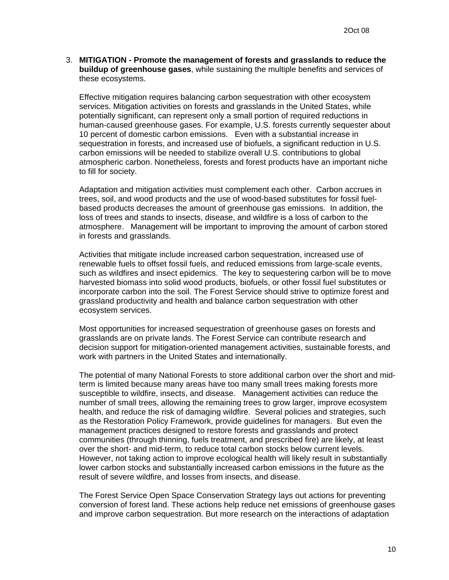3. **MITIGATION - Promote the management of forests and grasslands to reduce the buildup of greenhouse gases**, while sustaining the multiple benefits and services of these ecosystems.

Effective mitigation requires balancing carbon sequestration with other ecosystem services. Mitigation activities on forests and grasslands in the United States, while potentially significant, can represent only a small portion of required reductions in human-caused greenhouse gases. For example, U.S. forests currently sequester about 10 percent of domestic carbon emissions. Even with a substantial increase in sequestration in forests, and increased use of biofuels, a significant reduction in U.S. carbon emissions will be needed to stabilize overall U.S. contributions to global atmospheric carbon. Nonetheless, forests and forest products have an important niche to fill for society.

Adaptation and mitigation activities must complement each other. Carbon accrues in trees, soil, and wood products and the use of wood-based substitutes for fossil fuelbased products decreases the amount of greenhouse gas emissions. In addition, the loss of trees and stands to insects, disease, and wildfire is a loss of carbon to the atmosphere. Management will be important to improving the amount of carbon stored in forests and grasslands.

Activities that mitigate include increased carbon sequestration, increased use of renewable fuels to offset fossil fuels, and reduced emissions from large-scale events, such as wildfires and insect epidemics. The key to sequestering carbon will be to move harvested biomass into solid wood products, biofuels, or other fossil fuel substitutes or incorporate carbon into the soil. The Forest Service should strive to optimize forest and grassland productivity and health and balance carbon sequestration with other ecosystem services.

Most opportunities for increased sequestration of greenhouse gases on forests and grasslands are on private lands. The Forest Service can contribute research and decision support for mitigation-oriented management activities, sustainable forests, and work with partners in the United States and internationally.

The potential of many National Forests to store additional carbon over the short and midterm is limited because many areas have too many small trees making forests more susceptible to wildfire, insects, and disease. Management activities can reduce the number of small trees, allowing the remaining trees to grow larger, improve ecosystem health, and reduce the risk of damaging wildfire. Several policies and strategies, such as the Restoration Policy Framework, provide guidelines for managers. But even the management practices designed to restore forests and grasslands and protect communities (through thinning, fuels treatment, and prescribed fire) are likely, at least over the short- and mid-term, to reduce total carbon stocks below current levels. However, not taking action to improve ecological health will likely result in substantially lower carbon stocks and substantially increased carbon emissions in the future as the result of severe wildfire, and losses from insects, and disease.

The Forest Service Open Space Conservation Strategy lays out actions for preventing conversion of forest land. These actions help reduce net emissions of greenhouse gases and improve carbon sequestration. But more research on the interactions of adaptation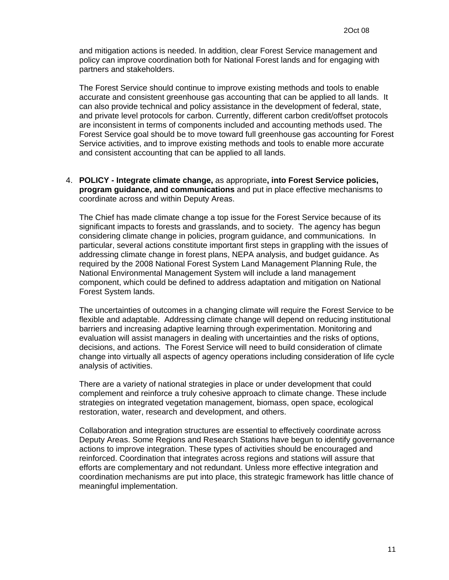and mitigation actions is needed. In addition, clear Forest Service management and policy can improve coordination both for National Forest lands and for engaging with partners and stakeholders.

The Forest Service should continue to improve existing methods and tools to enable accurate and consistent greenhouse gas accounting that can be applied to all lands. It can also provide technical and policy assistance in the development of federal, state, and private level protocols for carbon. Currently, different carbon credit/offset protocols are inconsistent in terms of components included and accounting methods used. The Forest Service goal should be to move toward full greenhouse gas accounting for Forest Service activities, and to improve existing methods and tools to enable more accurate and consistent accounting that can be applied to all lands.

4. **POLICY - Integrate climate change,** as appropriate**, into Forest Service policies, program guidance, and communications** and put in place effective mechanisms to coordinate across and within Deputy Areas.

The Chief has made climate change a top issue for the Forest Service because of its significant impacts to forests and grasslands, and to society. The agency has begun considering climate change in policies, program guidance, and communications. In particular, several actions constitute important first steps in grappling with the issues of addressing climate change in forest plans, NEPA analysis, and budget guidance. As required by the 2008 National Forest System Land Management Planning Rule, the National Environmental Management System will include a land management component, which could be defined to address adaptation and mitigation on National Forest System lands.

The uncertainties of outcomes in a changing climate will require the Forest Service to be flexible and adaptable. Addressing climate change will depend on reducing institutional barriers and increasing adaptive learning through experimentation. Monitoring and evaluation will assist managers in dealing with uncertainties and the risks of options, decisions, and actions. The Forest Service will need to build consideration of climate change into virtually all aspects of agency operations including consideration of life cycle analysis of activities.

There are a variety of national strategies in place or under development that could complement and reinforce a truly cohesive approach to climate change. These include strategies on integrated vegetation management, biomass, open space, ecological restoration, water, research and development, and others.

Collaboration and integration structures are essential to effectively coordinate across Deputy Areas. Some Regions and Research Stations have begun to identify governance actions to improve integration. These types of activities should be encouraged and reinforced. Coordination that integrates across regions and stations will assure that efforts are complementary and not redundant. Unless more effective integration and coordination mechanisms are put into place, this strategic framework has little chance of meaningful implementation.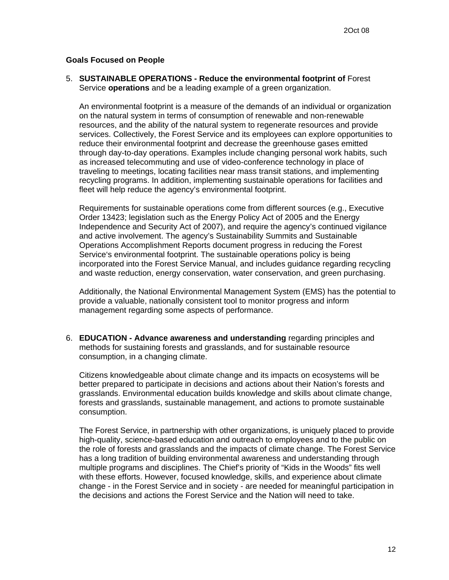#### **Goals Focused on People**

5. **SUSTAINABLE OPERATIONS - Reduce the environmental footprint of** Forest Service **operations** and be a leading example of a green organization.

An environmental footprint is a measure of the demands of an individual or organization on the natural system in terms of consumption of renewable and non-renewable resources, and the ability of the natural system to regenerate resources and provide services. Collectively, the Forest Service and its employees can explore opportunities to reduce their environmental footprint and decrease the greenhouse gases emitted through day-to-day operations. Examples include changing personal work habits, such as increased telecommuting and use of video-conference technology in place of traveling to meetings, locating facilities near mass transit stations, and implementing recycling programs. In addition, implementing sustainable operations for facilities and fleet will help reduce the agency's environmental footprint.

Requirements for sustainable operations come from different sources (e.g., Executive Order 13423; legislation such as the Energy Policy Act of 2005 and the Energy Independence and Security Act of 2007), and require the agency's continued vigilance and active involvement. The agency's Sustainability Summits and Sustainable Operations Accomplishment Reports document progress in reducing the Forest Service's environmental footprint. The sustainable operations policy is being incorporated into the Forest Service Manual, and includes guidance regarding recycling and waste reduction, energy conservation, water conservation, and green purchasing.

Additionally, the National Environmental Management System (EMS) has the potential to provide a valuable, nationally consistent tool to monitor progress and inform management regarding some aspects of performance.

6. **EDUCATION - Advance awareness and understanding** regarding principles and methods for sustaining forests and grasslands, and for sustainable resource consumption, in a changing climate.

Citizens knowledgeable about climate change and its impacts on ecosystems will be better prepared to participate in decisions and actions about their Nation's forests and grasslands. Environmental education builds knowledge and skills about climate change, forests and grasslands, sustainable management, and actions to promote sustainable consumption.

The Forest Service, in partnership with other organizations, is uniquely placed to provide high-quality, science-based education and outreach to employees and to the public on the role of forests and grasslands and the impacts of climate change. The Forest Service has a long tradition of building environmental awareness and understanding through multiple programs and disciplines. The Chief's priority of "Kids in the Woods" fits well with these efforts. However, focused knowledge, skills, and experience about climate change - in the Forest Service and in society - are needed for meaningful participation in the decisions and actions the Forest Service and the Nation will need to take.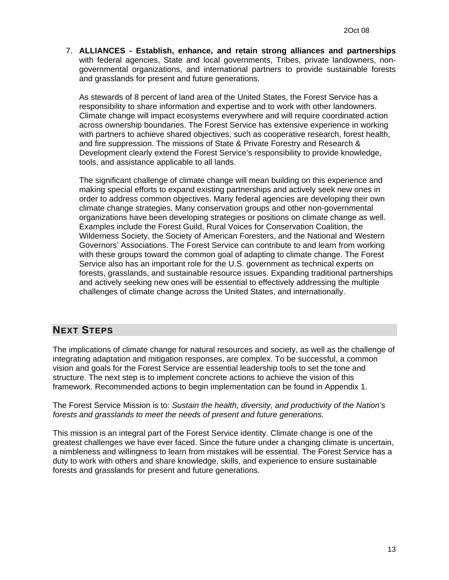7. **ALLIANCES - Establish, enhance, and retain strong alliances and partnerships** with federal agencies, State and local governments, Tribes, private landowners, nongovernmental organizations, and international partners to provide sustainable forests and grasslands for present and future generations.

As stewards of 8 percent of land area of the United States, the Forest Service has a responsibility to share information and expertise and to work with other landowners. Climate change will impact ecosystems everywhere and will require coordinated action across ownership boundaries. The Forest Service has extensive experience in working with partners to achieve shared objectives, such as cooperative research, forest health, and fire suppression. The missions of State & Private Forestry and Research & Development clearly extend the Forest Service's responsibility to provide knowledge, tools, and assistance applicable to all lands.

The significant challenge of climate change will mean building on this experience and making special efforts to expand existing partnerships and actively seek new ones in order to address common objectives. Many federal agencies are developing their own climate change strategies. Many conservation groups and other non-governmental organizations have been developing strategies or positions on climate change as well. Examples include the Forest Guild, Rural Voices for Conservation Coalition, the Wilderness Society, the Society of American Foresters, and the National and Western Governors' Associations. The Forest Service can contribute to and learn from working with these groups toward the common goal of adapting to climate change. The Forest Service also has an important role for the U.S. government as technical experts on forests, grasslands, and sustainable resource issues. Expanding traditional partnerships and actively seeking new ones will be essential to effectively addressing the multiple challenges of climate change across the United States, and internationally.

# **NEXT STEPS**

The implications of climate change for natural resources and society, as well as the challenge of integrating adaptation and mitigation responses, are complex. To be successful, a common vision and goals for the Forest Service are essential leadership tools to set the tone and structure. The next step is to implement concrete actions to achieve the vision of this framework. Recommended actions to begin implementation can be found in Appendix 1.

The Forest Service Mission is to: *Sustain the health, diversity, and productivity of the Nation's forests and grasslands to meet the needs of present and future generations.* 

This mission is an integral part of the Forest Service identity. Climate change is one of the greatest challenges we have ever faced. Since the future under a changing climate is uncertain, a nimbleness and willingness to learn from mistakes will be essential. The Forest Service has a duty to work with others and share knowledge, skills, and experience to ensure sustainable forests and grasslands for present and future generations.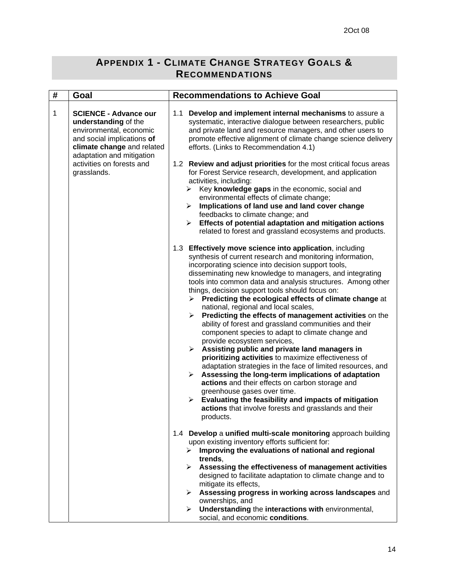# **APPENDIX 1 - CLIMATE CHANGE STRATEGY GOALS & RECOMMENDATIONS**

| # | Goal                                                                                                                                                                                                                 | <b>Recommendations to Achieve Goal</b>                                                                                                                                                                                                                                                                                                                                                                                                                                                                                                                                                                                                                                                                                                                                                                                                                                                                                                                                                                                                                                                                                                                       |
|---|----------------------------------------------------------------------------------------------------------------------------------------------------------------------------------------------------------------------|--------------------------------------------------------------------------------------------------------------------------------------------------------------------------------------------------------------------------------------------------------------------------------------------------------------------------------------------------------------------------------------------------------------------------------------------------------------------------------------------------------------------------------------------------------------------------------------------------------------------------------------------------------------------------------------------------------------------------------------------------------------------------------------------------------------------------------------------------------------------------------------------------------------------------------------------------------------------------------------------------------------------------------------------------------------------------------------------------------------------------------------------------------------|
| 1 | <b>SCIENCE - Advance our</b><br>understanding of the<br>environmental, economic<br>and social implications of<br>climate change and related<br>adaptation and mitigation<br>activities on forests and<br>grasslands. | 1.1 Develop and implement internal mechanisms to assure a<br>systematic, interactive dialogue between researchers, public<br>and private land and resource managers, and other users to<br>promote effective alignment of climate change science delivery<br>efforts. (Links to Recommendation 4.1)<br>1.2 Review and adjust priorities for the most critical focus areas<br>for Forest Service research, development, and application<br>activities, including:<br>Key knowledge gaps in the economic, social and<br>➤                                                                                                                                                                                                                                                                                                                                                                                                                                                                                                                                                                                                                                      |
|   |                                                                                                                                                                                                                      | environmental effects of climate change;<br>Implications of land use and land cover change<br>$\blacktriangleright$<br>feedbacks to climate change; and<br>Effects of potential adaptation and mitigation actions<br>≻<br>related to forest and grassland ecosystems and products.                                                                                                                                                                                                                                                                                                                                                                                                                                                                                                                                                                                                                                                                                                                                                                                                                                                                           |
|   |                                                                                                                                                                                                                      | 1.3 Effectively move science into application, including<br>synthesis of current research and monitoring information,<br>incorporating science into decision support tools,<br>disseminating new knowledge to managers, and integrating<br>tools into common data and analysis structures. Among other<br>things, decision support tools should focus on:<br>Predicting the ecological effects of climate change at<br>≻<br>national, regional and local scales,<br>Predicting the effects of management activities on the<br>≻<br>ability of forest and grassland communities and their<br>component species to adapt to climate change and<br>provide ecosystem services,<br>Assisting public and private land managers in<br>$\blacktriangleright$<br>prioritizing activities to maximize effectiveness of<br>adaptation strategies in the face of limited resources, and<br>Assessing the long-term implications of adaptation<br>≻<br>actions and their effects on carbon storage and<br>greenhouse gases over time.<br>Evaluating the feasibility and impacts of mitigation<br>➤<br>actions that involve forests and grasslands and their<br>products. |
|   |                                                                                                                                                                                                                      | 1.4 Develop a unified multi-scale monitoring approach building<br>upon existing inventory efforts sufficient for:<br>Improving the evaluations of national and regional<br>≻<br>trends,<br>$\triangleright$ Assessing the effectiveness of management activities<br>designed to facilitate adaptation to climate change and to<br>mitigate its effects,<br>Assessing progress in working across landscapes and<br>➤<br>ownerships, and<br>Understanding the interactions with environmental,<br>≻                                                                                                                                                                                                                                                                                                                                                                                                                                                                                                                                                                                                                                                            |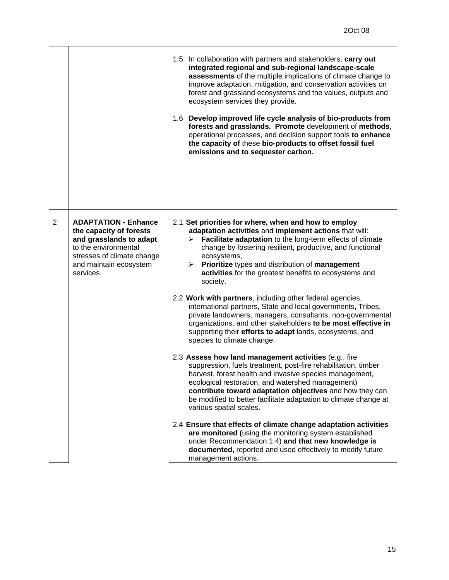|   |                                                                                                                                                                                | 1.5 In collaboration with partners and stakeholders, carry out<br>integrated regional and sub-regional landscape-scale<br>assessments of the multiple implications of climate change to<br>improve adaptation, mitigation, and conservation activities on<br>forest and grassland ecosystems and the values, outputs and<br>ecosystem services they provide.<br>1.6 Develop improved life cycle analysis of bio-products from<br>forests and grasslands. Promote development of methods,<br>operational processes, and decision support tools to enhance<br>the capacity of these bio-products to offset fossil fuel<br>emissions and to sequester carbon. |
|---|--------------------------------------------------------------------------------------------------------------------------------------------------------------------------------|------------------------------------------------------------------------------------------------------------------------------------------------------------------------------------------------------------------------------------------------------------------------------------------------------------------------------------------------------------------------------------------------------------------------------------------------------------------------------------------------------------------------------------------------------------------------------------------------------------------------------------------------------------|
| 2 | <b>ADAPTATION - Enhance</b><br>the capacity of forests<br>and grasslands to adapt<br>to the environmental<br>stresses of climate change<br>and maintain ecosystem<br>services. | 2.1 Set priorities for where, when and how to employ<br>adaptation activities and implement actions that will:<br>Facilitate adaptation to the long-term effects of climate<br>change by fostering resilient, productive, and functional<br>ecosystems,<br>$\triangleright$ Prioritize types and distribution of management<br>activities for the greatest benefits to ecosystems and<br>society.                                                                                                                                                                                                                                                          |
|   |                                                                                                                                                                                | 2.2 Work with partners, including other federal agencies,<br>international partners, State and local governments, Tribes,<br>private landowners, managers, consultants, non-governmental<br>organizations, and other stakeholders to be most effective in<br>supporting their efforts to adapt lands, ecosystems, and<br>species to climate change.                                                                                                                                                                                                                                                                                                        |
|   |                                                                                                                                                                                | 2.3 Assess how land management activities (e.g., fire<br>suppression, fuels treatment, post-fire rehabilitation, timber<br>harvest, forest health and invasive species management,<br>ecological restoration, and watershed management)<br>contribute toward adaptation objectives and how they can<br>be modified to better facilitate adaptation to climate change at<br>various spatial scales.                                                                                                                                                                                                                                                         |
|   |                                                                                                                                                                                | 2.4 Ensure that effects of climate change adaptation activities<br>are monitored (using the monitoring system established<br>under Recommendation 1.4) and that new knowledge is<br>documented, reported and used effectively to modify future<br>management actions.                                                                                                                                                                                                                                                                                                                                                                                      |

**r**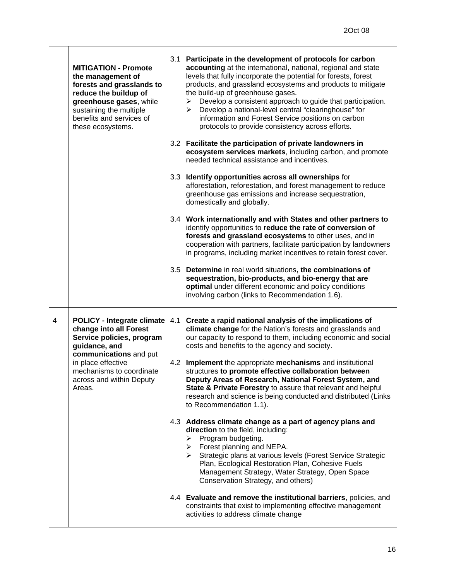|   | <b>MITIGATION - Promote</b><br>the management of<br>forests and grasslands to<br>reduce the buildup of<br>greenhouse gases, while<br>sustaining the multiple<br>benefits and services of<br>these ecosystems. | 3.1 Participate in the development of protocols for carbon<br>accounting at the international, national, regional and state<br>levels that fully incorporate the potential for forests, forest<br>products, and grassland ecosystems and products to mitigate<br>the build-up of greenhouse gases.<br>Develop a consistent approach to guide that participation.<br>➤<br>Develop a national-level central "clearinghouse" for<br>≻<br>information and Forest Service positions on carbon<br>protocols to provide consistency across efforts.<br>3.2 Facilitate the participation of private landowners in<br>ecosystem services markets, including carbon, and promote<br>needed technical assistance and incentives.<br>3.3 Identify opportunities across all ownerships for<br>afforestation, reforestation, and forest management to reduce<br>greenhouse gas emissions and increase sequestration,<br>domestically and globally.<br>3.4 Work internationally and with States and other partners to<br>identify opportunities to reduce the rate of conversion of<br>forests and grassland ecosystems to other uses, and in |
|---|---------------------------------------------------------------------------------------------------------------------------------------------------------------------------------------------------------------|--------------------------------------------------------------------------------------------------------------------------------------------------------------------------------------------------------------------------------------------------------------------------------------------------------------------------------------------------------------------------------------------------------------------------------------------------------------------------------------------------------------------------------------------------------------------------------------------------------------------------------------------------------------------------------------------------------------------------------------------------------------------------------------------------------------------------------------------------------------------------------------------------------------------------------------------------------------------------------------------------------------------------------------------------------------------------------------------------------------------------------|
|   |                                                                                                                                                                                                               | cooperation with partners, facilitate participation by landowners<br>in programs, including market incentives to retain forest cover.                                                                                                                                                                                                                                                                                                                                                                                                                                                                                                                                                                                                                                                                                                                                                                                                                                                                                                                                                                                          |
|   |                                                                                                                                                                                                               | 3.5 Determine in real world situations, the combinations of<br>sequestration, bio-products, and bio-energy that are<br>optimal under different economic and policy conditions<br>involving carbon (links to Recommendation 1.6).                                                                                                                                                                                                                                                                                                                                                                                                                                                                                                                                                                                                                                                                                                                                                                                                                                                                                               |
| 4 | <b>POLICY - Integrate climate 4.1</b><br>change into all Forest<br>Service policies, program<br>guidance, and<br>communications and put                                                                       | Create a rapid national analysis of the implications of<br>climate change for the Nation's forests and grasslands and<br>our capacity to respond to them, including economic and social<br>costs and benefits to the agency and society.                                                                                                                                                                                                                                                                                                                                                                                                                                                                                                                                                                                                                                                                                                                                                                                                                                                                                       |
|   | in place effective<br>mechanisms to coordinate<br>across and within Deputy<br>Areas.                                                                                                                          | 4.2 Implement the appropriate mechanisms and institutional<br>structures to promote effective collaboration between<br>Deputy Areas of Research, National Forest System, and<br>State & Private Forestry to assure that relevant and helpful<br>research and science is being conducted and distributed (Links<br>to Recommendation 1.1).                                                                                                                                                                                                                                                                                                                                                                                                                                                                                                                                                                                                                                                                                                                                                                                      |
|   |                                                                                                                                                                                                               | 4.3 Address climate change as a part of agency plans and<br>direction to the field, including:<br>Program budgeting.<br>➤<br>$\triangleright$ Forest planning and NEPA.<br>> Strategic plans at various levels (Forest Service Strategic<br>Plan, Ecological Restoration Plan, Cohesive Fuels<br>Management Strategy, Water Strategy, Open Space<br>Conservation Strategy, and others)                                                                                                                                                                                                                                                                                                                                                                                                                                                                                                                                                                                                                                                                                                                                         |
|   |                                                                                                                                                                                                               | 4.4 Evaluate and remove the institutional barriers, policies, and                                                                                                                                                                                                                                                                                                                                                                                                                                                                                                                                                                                                                                                                                                                                                                                                                                                                                                                                                                                                                                                              |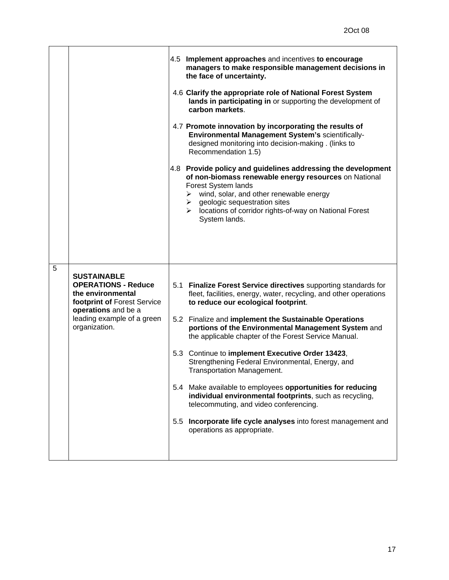|   |                                                                                                                                                                            | 4.5 Implement approaches and incentives to encourage<br>managers to make responsible management decisions in<br>the face of uncertainty.                                                                                                                                                                                                                                                                                                                                                                                                                                                                                                                                                                                                                            |
|---|----------------------------------------------------------------------------------------------------------------------------------------------------------------------------|---------------------------------------------------------------------------------------------------------------------------------------------------------------------------------------------------------------------------------------------------------------------------------------------------------------------------------------------------------------------------------------------------------------------------------------------------------------------------------------------------------------------------------------------------------------------------------------------------------------------------------------------------------------------------------------------------------------------------------------------------------------------|
|   |                                                                                                                                                                            | 4.6 Clarify the appropriate role of National Forest System<br>lands in participating in or supporting the development of<br>carbon markets.                                                                                                                                                                                                                                                                                                                                                                                                                                                                                                                                                                                                                         |
|   |                                                                                                                                                                            | 4.7 Promote innovation by incorporating the results of<br>Environmental Management System's scientifically-<br>designed monitoring into decision-making . (links to<br>Recommendation 1.5)                                                                                                                                                                                                                                                                                                                                                                                                                                                                                                                                                                          |
|   |                                                                                                                                                                            | 4.8 Provide policy and guidelines addressing the development<br>of non-biomass renewable energy resources on National<br>Forest System lands<br>$\triangleright$ wind, solar, and other renewable energy<br>$\triangleright$ geologic sequestration sites<br>> locations of corridor rights-of-way on National Forest<br>System lands.                                                                                                                                                                                                                                                                                                                                                                                                                              |
| 5 | <b>SUSTAINABLE</b><br><b>OPERATIONS - Reduce</b><br>the environmental<br>footprint of Forest Service<br>operations and be a<br>leading example of a green<br>organization. | 5.1 Finalize Forest Service directives supporting standards for<br>fleet, facilities, energy, water, recycling, and other operations<br>to reduce our ecological footprint.<br>5.2 Finalize and implement the Sustainable Operations<br>portions of the Environmental Management System and<br>the applicable chapter of the Forest Service Manual.<br>5.3 Continue to implement Executive Order 13423,<br>Strengthening Federal Environmental, Energy, and<br><b>Transportation Management.</b><br>5.4 Make available to employees opportunities for reducing<br>individual environmental footprints, such as recycling,<br>telecommuting, and video conferencing.<br>5.5 Incorporate life cycle analyses into forest management and<br>operations as appropriate. |

 $\mathbf{r}$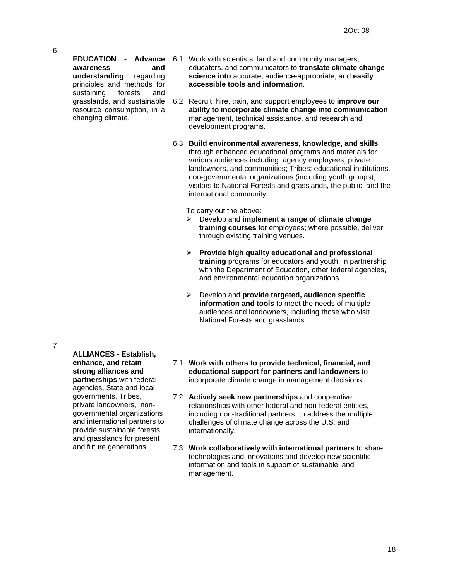| 6              | <b>EDUCATION</b><br><b>Advance</b><br>awareness<br>and<br>understanding<br>regarding<br>principles and methods for<br>sustaining<br>forests<br>and<br>grasslands, and sustainable<br>resource consumption, in a<br>changing climate.                                                                                                              | 6.1 Work with scientists, land and community managers,<br>educators, and communicators to translate climate change<br>science into accurate, audience-appropriate, and easily<br>accessible tools and information.<br>6.2 Recruit, hire, train, and support employees to improve our<br>ability to incorporate climate change into communication,<br>management, technical assistance, and research and<br>development programs.<br>6.3 Build environmental awareness, knowledge, and skills<br>through enhanced educational programs and materials for<br>various audiences including: agency employees; private<br>landowners, and communities; Tribes; educational institutions,<br>non-governmental organizations (including youth groups);<br>visitors to National Forests and grasslands, the public, and the<br>international community.<br>To carry out the above:<br>Develop and implement a range of climate change<br>➤<br>training courses for employees; where possible, deliver<br>through existing training venues.<br>Provide high quality educational and professional<br>➤<br>training programs for educators and youth, in partnership<br>with the Department of Education, other federal agencies,<br>and environmental education organizations.<br>Develop and provide targeted, audience specific<br>➤<br>information and tools to meet the needs of multiple<br>audiences and landowners, including those who visit<br>National Forests and grasslands. |
|----------------|---------------------------------------------------------------------------------------------------------------------------------------------------------------------------------------------------------------------------------------------------------------------------------------------------------------------------------------------------|--------------------------------------------------------------------------------------------------------------------------------------------------------------------------------------------------------------------------------------------------------------------------------------------------------------------------------------------------------------------------------------------------------------------------------------------------------------------------------------------------------------------------------------------------------------------------------------------------------------------------------------------------------------------------------------------------------------------------------------------------------------------------------------------------------------------------------------------------------------------------------------------------------------------------------------------------------------------------------------------------------------------------------------------------------------------------------------------------------------------------------------------------------------------------------------------------------------------------------------------------------------------------------------------------------------------------------------------------------------------------------------------------------------------------------------------------------------------------------|
| $\overline{7}$ | <b>ALLIANCES - Establish,</b><br>enhance, and retain<br>strong alliances and<br>partnerships with federal<br>agencies, State and local<br>governments, Tribes,<br>private landowners, non-<br>governmental organizations<br>and international partners to<br>provide sustainable forests<br>and grasslands for present<br>and future generations. | 7.1 Work with others to provide technical, financial, and<br>educational support for partners and landowners to<br>incorporate climate change in management decisions.<br>7.2 Actively seek new partnerships and cooperative<br>relationships with other federal and non-federal entities,<br>including non-traditional partners, to address the multiple<br>challenges of climate change across the U.S. and<br>internationally.<br>7.3 Work collaboratively with international partners to share<br>technologies and innovations and develop new scientific<br>information and tools in support of sustainable land<br>management.                                                                                                                                                                                                                                                                                                                                                                                                                                                                                                                                                                                                                                                                                                                                                                                                                                           |

Í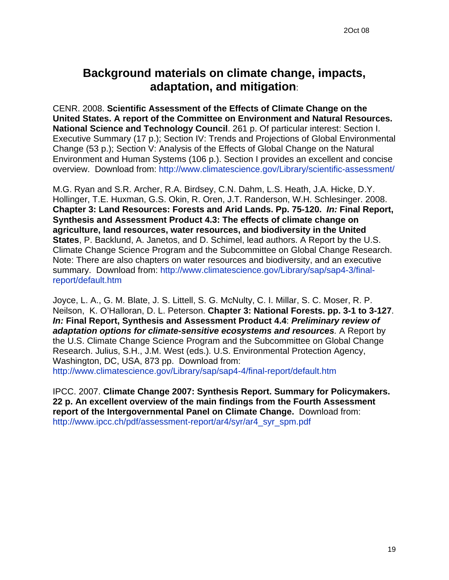# **Background materials on climate change, impacts, adaptation, and mitigation**:

CENR. 2008. **Scientific Assessment of the Effects of Climate Change on the United States. A report of the Committee on Environment and Natural Resources. National Science and Technology Council**. 261 p. Of particular interest: Section I. Executive Summary (17 p.); Section IV: Trends and Projections of Global Environmental Change (53 p.); Section V: Analysis of the Effects of Global Change on the Natural Environment and Human Systems (106 p.). Section I provides an excellent and concise overview. Download from: <http://www.climatescience.gov/Library/scientific-assessment/>

M.G. Ryan and S.R. Archer, R.A. Birdsey, C.N. Dahm, L.S. Heath, J.A. Hicke, D.Y. Hollinger, T.E. Huxman, G.S. Okin, R. Oren, J.T. Randerson, W.H. Schlesinger. 2008. **Chapter 3: Land Resources: Forests and Arid Lands. Pp. 75-120.** *In:* **Final Report, Synthesis and Assessment Product 4.3: The effects of climate change on agriculture, land resources, water resources, and biodiversity in the United States**, P. Backlund, A. Janetos, and D. Schimel, lead authors. A Report by the U.S. Climate Change Science Program and the Subcommittee on Global Change Research. Note: There are also chapters on water resources and biodiversity, and an executive summary. Download from: [http://www.climatescience.gov/Library/sap/sap4-3/final](http://www.climatescience.gov/Library/sap/sap4-3/final-report/default.htm)[report/default.htm](http://www.climatescience.gov/Library/sap/sap4-3/final-report/default.htm)

Joyce, L. A., G. M. Blate, J. S. Littell, S. G. McNulty, C. I. Millar, S. C. Moser, R. P. Neilson, K. O'Halloran, D. L. Peterson. **Chapter 3: National Forests. pp. 3-1 to 3-127**. *In:* **Final Report, Synthesis and Assessment Product 4.4**: *Preliminary review of adaptation options for climate-sensitive ecosystems and resources.* A Report by the U.S. Climate Change Science Program and the Subcommittee on Global Change Research. Julius, S.H., J.M. West (eds.). U.S. Environmental Protection Agency, Washington, DC, USA, 873 pp. Download from: <http://www.climatescience.gov/Library/sap/sap4-4/final-report/default.htm>

IPCC. 2007. **Climate Change 2007: Synthesis Report. Summary for Policymakers. 22 p. An excellent overview of the main findings from the Fourth Assessment report of the Intergovernmental Panel on Climate Change.** Download from: [http://www.ipcc.ch/pdf/assessment-report/ar4/syr/ar4\\_syr\\_spm.pdf](http://www.ipcc.ch/pdf/assessment-report/ar4/syr/ar4_syr_spm.pdf)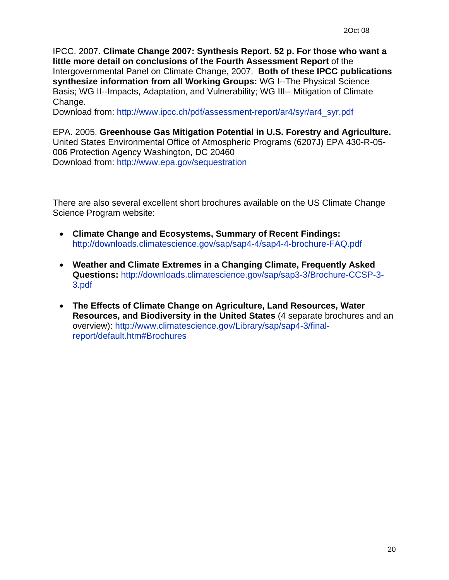IPCC. 2007. **Climate Change 2007: Synthesis Report. 52 p. For those who want a little more detail on conclusions of the Fourth Assessment Report** of the Intergovernmental Panel on Climate Change, 2007. **Both of these IPCC publications synthesize information from all Working Groups:** WG I--The Physical Science Basis; WG II--Impacts, Adaptation, and Vulnerability; WG III-- Mitigation of Climate Change.

Download from: [http://www.ipcc.ch/pdf/assessment-report/ar4/syr/ar4\\_syr.pdf](http://www.ipcc.ch/pdf/assessment-report/ar4/syr/ar4_syr.pdf)

EPA. 2005. **Greenhouse Gas Mitigation Potential in U.S. Forestry and Agriculture.** United States Environmental Office of Atmospheric Programs (6207J) EPA 430-R-05- 006 Protection Agency Washington, DC 20460 Download from:<http://www.epa.gov/sequestration>

There are also several excellent short brochures available on the US Climate Change Science Program website:

- **Climate Change and Ecosystems, Summary of Recent Findings:**  <http://downloads.climatescience.gov/sap/sap4-4/sap4-4-brochure-FAQ.pdf>
- **Weather and Climate Extremes in a Changing Climate, Frequently Asked Questions:** [http://downloads.climatescience.gov/sap/sap3-3/Brochure-CCSP-3-](http://downloads.climatescience.gov/sap/sap3-3/Brochure-CCSP-3-3.pdf) [3.pdf](http://downloads.climatescience.gov/sap/sap3-3/Brochure-CCSP-3-3.pdf)
- **The Effects of Climate Change on Agriculture, Land Resources, Water Resources, and Biodiversity in the United States** (4 separate brochures and an overview): [http://www.climatescience.gov/Library/sap/sap4-3/final](http://www.climatescience.gov/Library/sap/sap4-3/final-report/default.htm#Brochures)[report/default.htm#Brochures](http://www.climatescience.gov/Library/sap/sap4-3/final-report/default.htm#Brochures)